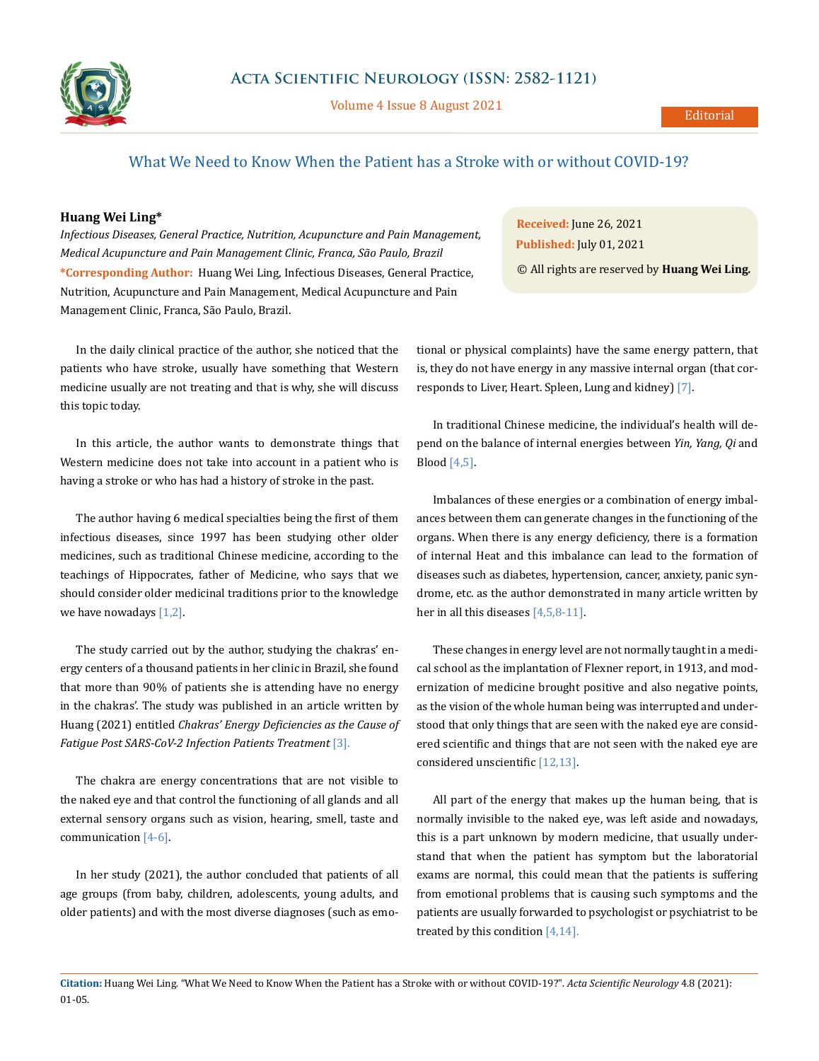

Volume 4 Issue 8 August 2021

## What We Need to Know When the Patient has a Stroke with or without COVID-19?

## **Huang Wei Ling\***

*Infectious Diseases, General Practice, Nutrition, Acupuncture and Pain Management, Medical Acupuncture and Pain Management Clinic, Franca, São Paulo, Brazil* **\*Corresponding Author:** Huang Wei Ling, Infectious Diseases, General Practice, Nutrition, Acupuncture and Pain Management, Medical Acupuncture and Pain Management Clinic, Franca, São Paulo, Brazil.

In the daily clinical practice of the author, she noticed that the patients who have stroke, usually have something that Western medicine usually are not treating and that is why, she will discuss this topic today.

In this article, the author wants to demonstrate things that Western medicine does not take into account in a patient who is having a stroke or who has had a history of stroke in the past.

The author having 6 medical specialties being the first of them infectious diseases, since 1997 has been studying other older medicines, such as traditional Chinese medicine, according to the teachings of Hippocrates, father of Medicine, who says that we should consider older medicinal traditions prior to the knowledge we have nowadays  $[1,2]$ .

The study carried out by the author, studying the chakras' energy centers of a thousand patients in her clinic in Brazil, she found that more than 90% of patients she is attending have no energy in the chakras'. The study was published in an article written by Huang (2021) entitled *Chakras' Energy Deficiencies as the Cause of*  Fatigue Post SARS-CoV-2 Infection Patients Treatment [3].

The chakra are energy concentrations that are not visible to the naked eye and that control the functioning of all glands and all external sensory organs such as vision, hearing, smell, taste and communication [4-6].

In her study (2021), the author concluded that patients of all age groups (from baby, children, adolescents, young adults, and older patients) and with the most diverse diagnoses (such as emo-

**Received:** June 26, 2021 **Published:** July 01, 2021

© All rights are reserved by **Huang Wei Ling***.*

tional or physical complaints) have the same energy pattern, that is, they do not have energy in any massive internal organ (that corresponds to Liver, Heart. Spleen, Lung and kidney) [7].

In traditional Chinese medicine, the individual's health will depend on the balance of internal energies between *Yin, Yang, Qi* and Blood [4,5].

Imbalances of these energies or a combination of energy imbalances between them can generate changes in the functioning of the organs. When there is any energy deficiency, there is a formation of internal Heat and this imbalance can lead to the formation of diseases such as diabetes, hypertension, cancer, anxiety, panic syndrome, etc. as the author demonstrated in many article written by her in all this diseases [4,5,8-11].

These changes in energy level are not normally taught in a medical school as the implantation of Flexner report, in 1913, and modernization of medicine brought positive and also negative points, as the vision of the whole human being was interrupted and understood that only things that are seen with the naked eye are considered scientific and things that are not seen with the naked eye are considered unscientific [12,13].

All part of the energy that makes up the human being, that is normally invisible to the naked eye, was left aside and nowadays, this is a part unknown by modern medicine, that usually understand that when the patient has symptom but the laboratorial exams are normal, this could mean that the patients is suffering from emotional problems that is causing such symptoms and the patients are usually forwarded to psychologist or psychiatrist to be treated by this condition  $[4,14]$ .

**Citation:** Huang Wei Ling*.* "What We Need to Know When the Patient has a Stroke with or without COVID-19?". *Acta Scientific Neurology* 4.8 (2021): 01-05.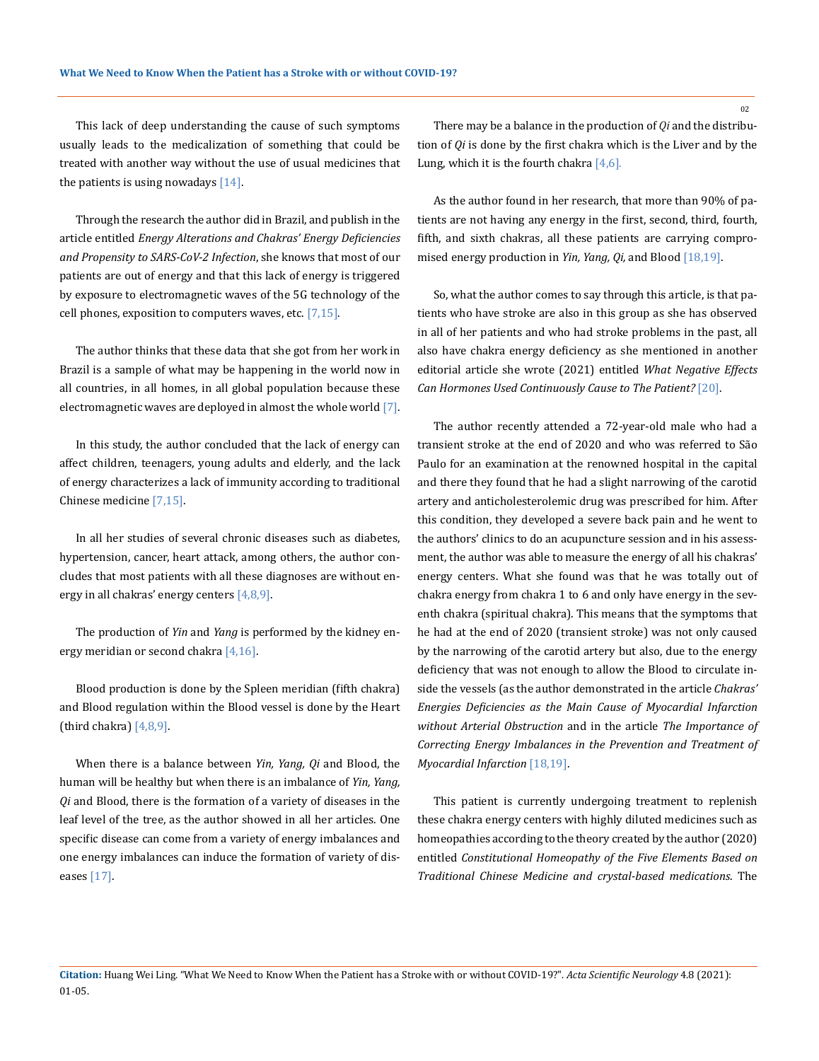This lack of deep understanding the cause of such symptoms usually leads to the medicalization of something that could be treated with another way without the use of usual medicines that the patients is using nowadays  $[14]$ .

Through the research the author did in Brazil, and publish in the article entitled *Energy Alterations and Chakras' Energy Deficiencies and Propensity to SARS-CoV-2 Infection*, she knows that most of our patients are out of energy and that this lack of energy is triggered by exposure to electromagnetic waves of the 5G technology of the cell phones, exposition to computers waves, etc.  $[7,15]$ .

The author thinks that these data that she got from her work in Brazil is a sample of what may be happening in the world now in all countries, in all homes, in all global population because these electromagnetic waves are deployed in almost the whole world [7].

In this study, the author concluded that the lack of energy can affect children, teenagers, young adults and elderly, and the lack of energy characterizes a lack of immunity according to traditional Chinese medicine [7,15].

In all her studies of several chronic diseases such as diabetes, hypertension, cancer, heart attack, among others, the author concludes that most patients with all these diagnoses are without energy in all chakras' energy centers  $[4,8,9]$ .

The production of *Yin* and *Yang* is performed by the kidney energy meridian or second chakra [4,16].

Blood production is done by the Spleen meridian (fifth chakra) and Blood regulation within the Blood vessel is done by the Heart (third chakra)  $[4,8,9]$ .

When there is a balance between *Yin, Yang, Qi* and Blood, the human will be healthy but when there is an imbalance of *Yin, Yang, Qi* and Blood, there is the formation of a variety of diseases in the leaf level of the tree, as the author showed in all her articles. One specific disease can come from a variety of energy imbalances and one energy imbalances can induce the formation of variety of diseases [17].

There may be a balance in the production of *Qi* and the distribution of *Qi* is done by the first chakra which is the Liver and by the Lung, which it is the fourth chakra  $[4,6]$ .

As the author found in her research, that more than 90% of patients are not having any energy in the first, second, third, fourth, fifth, and sixth chakras, all these patients are carrying compromised energy production in *Yin, Yang, Qi,* and Blood [18,19].

So, what the author comes to say through this article, is that patients who have stroke are also in this group as she has observed in all of her patients and who had stroke problems in the past, all also have chakra energy deficiency as she mentioned in another editorial article she wrote (2021) entitled *What Negative Effects Can Hormones Used Continuously Cause to The Patient?* [20].

The author recently attended a 72-year-old male who had a transient stroke at the end of 2020 and who was referred to São Paulo for an examination at the renowned hospital in the capital and there they found that he had a slight narrowing of the carotid artery and anticholesterolemic drug was prescribed for him. After this condition, they developed a severe back pain and he went to the authors' clinics to do an acupuncture session and in his assessment, the author was able to measure the energy of all his chakras' energy centers. What she found was that he was totally out of chakra energy from chakra 1 to 6 and only have energy in the seventh chakra (spiritual chakra). This means that the symptoms that he had at the end of 2020 (transient stroke) was not only caused by the narrowing of the carotid artery but also, due to the energy deficiency that was not enough to allow the Blood to circulate inside the vessels (as the author demonstrated in the article *Chakras' Energies Deficiencies as the Main Cause of Myocardial Infarction without Arterial Obstruction* and in the article *The Importance of Correcting Energy Imbalances in the Prevention and Treatment of Myocardial Infarction* [18,19].

This patient is currently undergoing treatment to replenish these chakra energy centers with highly diluted medicines such as homeopathies according to the theory created by the author (2020) entitled *Constitutional Homeopathy of the Five Elements Based on Traditional Chinese Medicine and crystal-based medications*. The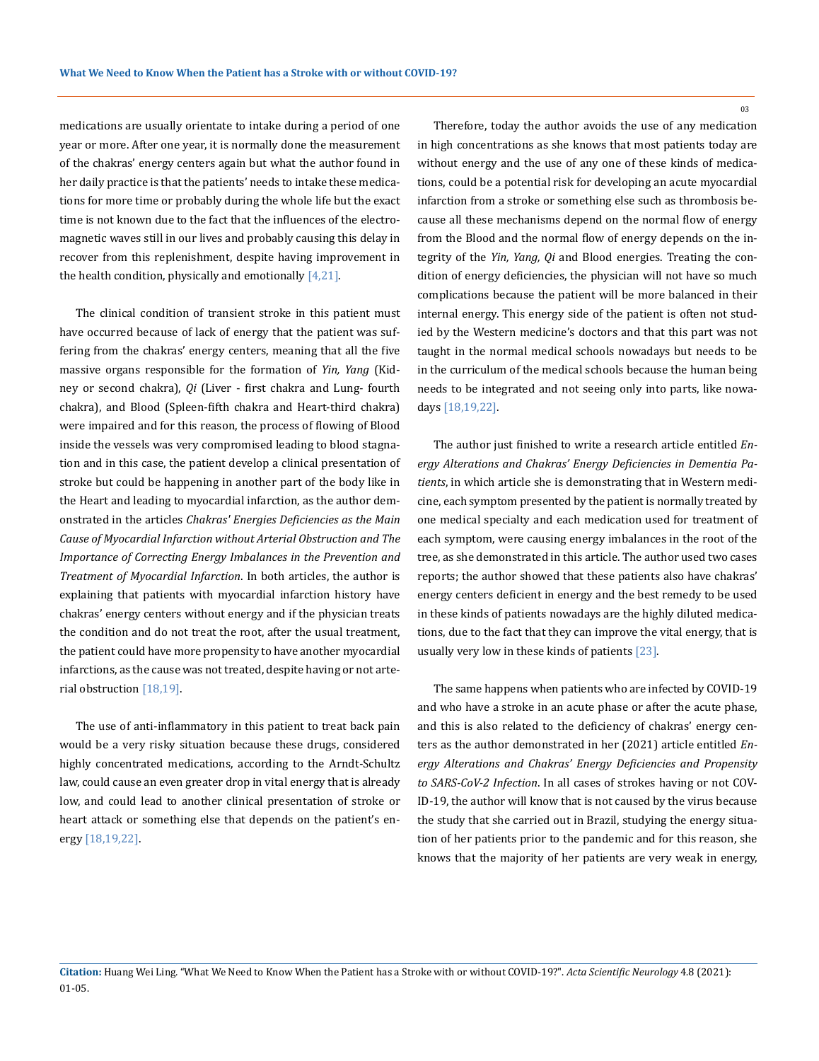medications are usually orientate to intake during a period of one year or more. After one year, it is normally done the measurement of the chakras' energy centers again but what the author found in her daily practice is that the patients' needs to intake these medications for more time or probably during the whole life but the exact time is not known due to the fact that the influences of the electromagnetic waves still in our lives and probably causing this delay in recover from this replenishment, despite having improvement in the health condition, physically and emotionally  $[4,21]$ .

The clinical condition of transient stroke in this patient must have occurred because of lack of energy that the patient was suffering from the chakras' energy centers, meaning that all the five massive organs responsible for the formation of *Yin, Yang* (Kidney or second chakra), *Qi* (Liver - first chakra and Lung- fourth chakra), and Blood (Spleen-fifth chakra and Heart-third chakra) were impaired and for this reason, the process of flowing of Blood inside the vessels was very compromised leading to blood stagnation and in this case, the patient develop a clinical presentation of stroke but could be happening in another part of the body like in the Heart and leading to myocardial infarction, as the author demonstrated in the articles *Chakras' Energies Deficiencies as the Main Cause of Myocardial Infarction without Arterial Obstruction and The Importance of Correcting Energy Imbalances in the Prevention and Treatment of Myocardial Infarction*. In both articles, the author is explaining that patients with myocardial infarction history have chakras' energy centers without energy and if the physician treats the condition and do not treat the root, after the usual treatment, the patient could have more propensity to have another myocardial infarctions, as the cause was not treated, despite having or not arterial obstruction [18,19].

The use of anti-inflammatory in this patient to treat back pain would be a very risky situation because these drugs, considered highly concentrated medications, according to the Arndt-Schultz law, could cause an even greater drop in vital energy that is already low, and could lead to another clinical presentation of stroke or heart attack or something else that depends on the patient's energy [18,19,22].

Therefore, today the author avoids the use of any medication in high concentrations as she knows that most patients today are without energy and the use of any one of these kinds of medications, could be a potential risk for developing an acute myocardial infarction from a stroke or something else such as thrombosis because all these mechanisms depend on the normal flow of energy from the Blood and the normal flow of energy depends on the integrity of the *Yin, Yang, Qi* and Blood energies. Treating the condition of energy deficiencies, the physician will not have so much complications because the patient will be more balanced in their internal energy. This energy side of the patient is often not studied by the Western medicine's doctors and that this part was not taught in the normal medical schools nowadays but needs to be in the curriculum of the medical schools because the human being needs to be integrated and not seeing only into parts, like nowadays [18,19,22].

The author just finished to write a research article entitled *Energy Alterations and Chakras' Energy Deficiencies in Dementia Patients*, in which article she is demonstrating that in Western medicine, each symptom presented by the patient is normally treated by one medical specialty and each medication used for treatment of each symptom, were causing energy imbalances in the root of the tree, as she demonstrated in this article. The author used two cases reports; the author showed that these patients also have chakras' energy centers deficient in energy and the best remedy to be used in these kinds of patients nowadays are the highly diluted medications, due to the fact that they can improve the vital energy, that is usually very low in these kinds of patients [23].

The same happens when patients who are infected by COVID-19 and who have a stroke in an acute phase or after the acute phase, and this is also related to the deficiency of chakras' energy centers as the author demonstrated in her (2021) article entitled *Energy Alterations and Chakras' Energy Deficiencies and Propensity to SARS-CoV-2 Infection*. In all cases of strokes having or not COV-ID-19, the author will know that is not caused by the virus because the study that she carried out in Brazil, studying the energy situation of her patients prior to the pandemic and for this reason, she knows that the majority of her patients are very weak in energy,

03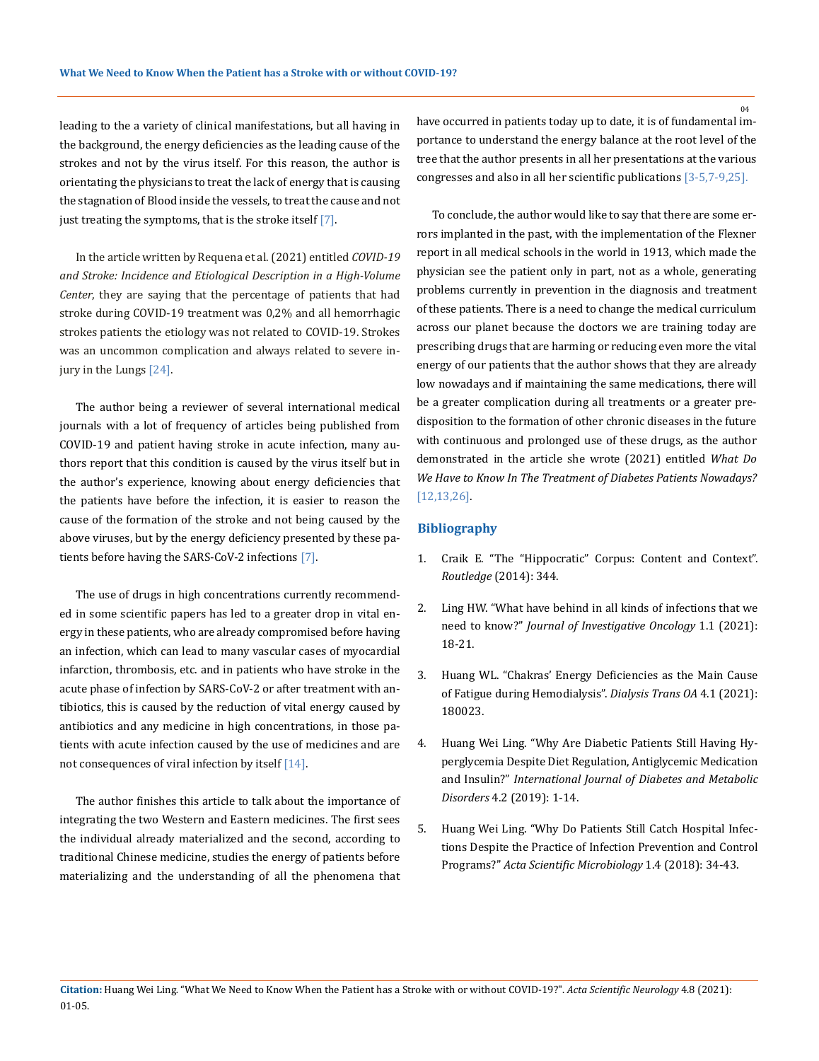leading to the a variety of clinical manifestations, but all having in the background, the energy deficiencies as the leading cause of the strokes and not by the virus itself. For this reason, the author is orientating the physicians to treat the lack of energy that is causing the stagnation of Blood inside the vessels, to treat the cause and not just treating the symptoms, that is the stroke itself [7].

In the article written by Requena et al. (2021) entitled *COVID-19 and Stroke: Incidence and Etiological Description in a High-Volume Center*, they are saying that the percentage of patients that had stroke during COVID-19 treatment was 0,2% and all hemorrhagic strokes patients the etiology was not related to COVID-19. Strokes was an uncommon complication and always related to severe injury in the Lungs [24].

The author being a reviewer of several international medical journals with a lot of frequency of articles being published from COVID-19 and patient having stroke in acute infection, many authors report that this condition is caused by the virus itself but in the author's experience, knowing about energy deficiencies that the patients have before the infection, it is easier to reason the cause of the formation of the stroke and not being caused by the above viruses, but by the energy deficiency presented by these patients before having the SARS-CoV-2 infections [7].

The use of drugs in high concentrations currently recommended in some scientific papers has led to a greater drop in vital energy in these patients, who are already compromised before having an infection, which can lead to many vascular cases of myocardial infarction, thrombosis, etc. and in patients who have stroke in the acute phase of infection by SARS-CoV-2 or after treatment with antibiotics, this is caused by the reduction of vital energy caused by antibiotics and any medicine in high concentrations, in those patients with acute infection caused by the use of medicines and are not consequences of viral infection by itself [14].

The author finishes this article to talk about the importance of integrating the two Western and Eastern medicines. The first sees the individual already materialized and the second, according to traditional Chinese medicine, studies the energy of patients before materializing and the understanding of all the phenomena that

have occurred in patients today up to date, it is of fundamental importance to understand the energy balance at the root level of the tree that the author presents in all her presentations at the various congresses and also in all her scientific publications [3-5,7-9,25].

To conclude, the author would like to say that there are some errors implanted in the past, with the implementation of the Flexner report in all medical schools in the world in 1913, which made the physician see the patient only in part, not as a whole, generating problems currently in prevention in the diagnosis and treatment of these patients. There is a need to change the medical curriculum across our planet because the doctors we are training today are prescribing drugs that are harming or reducing even more the vital energy of our patients that the author shows that they are already low nowadays and if maintaining the same medications, there will be a greater complication during all treatments or a greater predisposition to the formation of other chronic diseases in the future with continuous and prolonged use of these drugs, as the author demonstrated in the article she wrote (2021) entitled *What Do We Have to Know In The Treatment of Diabetes Patients Nowadays?*  [12,13,26].

## **Bibliography**

- 1. Craik E. "The "Hippocratic" Corpus: Content and Context". *Routledge* (2014): 344.
- 2. Ling HW. "What have behind in all kinds of infections that we need to know?" *Journal of Investigative Oncology* 1.1 (2021): 18-21.
- 3. [Huang WL. "Chakras' Energy Deficiencies as the Main Cause](https://asclepiusopen.com/clinical-research-in-urology/volume-3-issue-2/5.pdf)  [of Fatigue during Hemodialysis".](https://asclepiusopen.com/clinical-research-in-urology/volume-3-issue-2/5.pdf) *Dialysis Trans OA* 4.1 (2021): [180023.](https://asclepiusopen.com/clinical-research-in-urology/volume-3-issue-2/5.pdf)
- 4. [Huang Wei Ling. "Why Are Diabetic Patients Still Having Hy](https://www.omicsonline.org/proceedings/why-are-diabetic-patients-still-having-hyperglycemia-despite-diet-regulation-antiglycemic-medication-and-insulin-105440.html)[perglycemia Despite Diet Regulation, Antiglycemic Medication](https://www.omicsonline.org/proceedings/why-are-diabetic-patients-still-having-hyperglycemia-despite-diet-regulation-antiglycemic-medication-and-insulin-105440.html)  and Insulin?" *[International Journal of Diabetes and Metabolic](https://www.omicsonline.org/proceedings/why-are-diabetic-patients-still-having-hyperglycemia-despite-diet-regulation-antiglycemic-medication-and-insulin-105440.html)  Disorders* [4.2 \(2019\): 1-14.](https://www.omicsonline.org/proceedings/why-are-diabetic-patients-still-having-hyperglycemia-despite-diet-regulation-antiglycemic-medication-and-insulin-105440.html)
- 5. [Huang Wei Ling. "Why Do Patients Still Catch Hospital Infec](https://www.researchgate.net/publication/324695574_Why_do_Patients_Still_Catch_Hospital_Infections_Despite_the_Practice_of_Infection_Prevention_and_Control_Programs)[tions Despite the Practice of Infection Prevention and Control](https://www.researchgate.net/publication/324695574_Why_do_Patients_Still_Catch_Hospital_Infections_Despite_the_Practice_of_Infection_Prevention_and_Control_Programs)  Programs?" *[Acta Scientific Microbiology](https://www.researchgate.net/publication/324695574_Why_do_Patients_Still_Catch_Hospital_Infections_Despite_the_Practice_of_Infection_Prevention_and_Control_Programs)* 1.4 (2018): 34-43.

 $04$